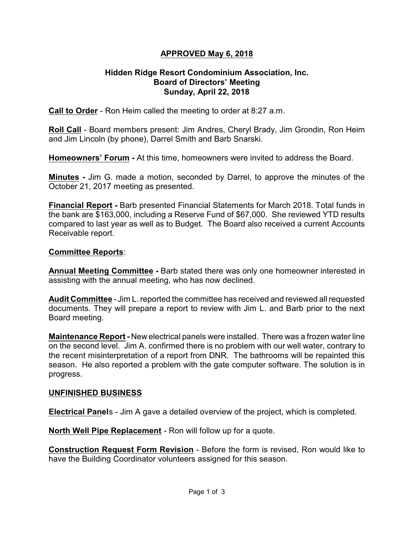## **APPROVED May 6, 2018**

### **Hidden Ridge Resort Condominium Association, Inc. Board of Directors' Meeting Sunday, April 22, 2018**

**Call to Order** - Ron Heim called the meeting to order at 8:27 a.m.

**Roll Call** - Board members present: Jim Andres, Cheryl Brady, Jim Grondin, Ron Heim and Jim Lincoln (by phone), Darrel Smith and Barb Snarski.

**Homeowners' Forum -** At this time, homeowners were invited to address the Board.

**Minutes -** Jim G. made a motion, seconded by Darrel, to approve the minutes of the October 21, 2017 meeting as presented.

**Financial Report -** Barb presented Financial Statements for March 2018. Total funds in the bank are \$163,000, including a Reserve Fund of \$67,000. She reviewed YTD results compared to last year as well as to Budget. The Board also received a current Accounts Receivable report.

#### **Committee Reports**:

**Annual Meeting Committee -** Barb stated there was only one homeowner interested in assisting with the annual meeting, who has now declined.

**Audit Committee** - Jim L. reported the committee has received and reviewed all requested documents. They will prepare a report to review with Jim L. and Barb prior to the next Board meeting.

**Maintenance Report -** New electrical panels were installed. There was a frozen water line on the second level. Jim A. confirmed there is no problem with our well water, contrary to the recent misinterpretation of a report from DNR. The bathrooms will be repainted this season. He also reported a problem with the gate computer software. The solution is in progress.

#### **UNFINISHED BUSINESS**

**Electrical Panel**s - Jim A gave a detailed overview of the project, which is completed.

**North Well Pipe Replacement** - Ron will follow up for a quote.

**Construction Request Form Revision** - Before the form is revised, Ron would like to have the Building Coordinator volunteers assigned for this season.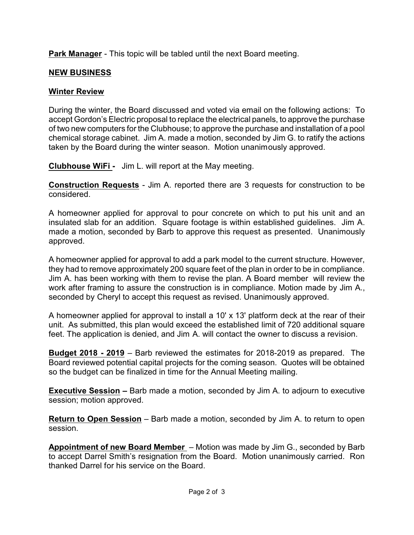**Park Manager** - This topic will be tabled until the next Board meeting.

# **NEW BUSINESS**

## **Winter Review**

During the winter, the Board discussed and voted via email on the following actions: To accept Gordon's Electric proposal to replace the electrical panels, to approve the purchase of two new computers for the Clubhouse; to approve the purchase and installation of a pool chemical storage cabinet. Jim A. made a motion, seconded by Jim G. to ratify the actions taken by the Board during the winter season. Motion unanimously approved.

**Clubhouse WiFi -** Jim L. will report at the May meeting.

**Construction Requests** - Jim A. reported there are 3 requests for construction to be considered.

A homeowner applied for approval to pour concrete on which to put his unit and an insulated slab for an addition. Square footage is within established guidelines. Jim A. made a motion, seconded by Barb to approve this request as presented. Unanimously approved.

A homeowner applied for approval to add a park model to the current structure. However, they had to remove approximately 200 square feet of the plan in order to be in compliance. Jim A. has been working with them to revise the plan. A Board member will review the work after framing to assure the construction is in compliance. Motion made by Jim A., seconded by Cheryl to accept this request as revised. Unanimously approved.

A homeowner applied for approval to install a 10' x 13' platform deck at the rear of their unit. As submitted, this plan would exceed the established limit of 720 additional square feet. The application is denied, and Jim A. will contact the owner to discuss a revision.

**Budget 2018 - 2019** – Barb reviewed the estimates for 2018-2019 as prepared. The Board reviewed potential capital projects for the coming season. Quotes will be obtained so the budget can be finalized in time for the Annual Meeting mailing.

**Executive Session –** Barb made a motion, seconded by Jim A. to adjourn to executive session; motion approved.

**Return to Open Session** – Barb made a motion, seconded by Jim A. to return to open session.

**Appointment of new Board Member** – Motion was made by Jim G., seconded by Barb to accept Darrel Smith's resignation from the Board. Motion unanimously carried. Ron thanked Darrel for his service on the Board.